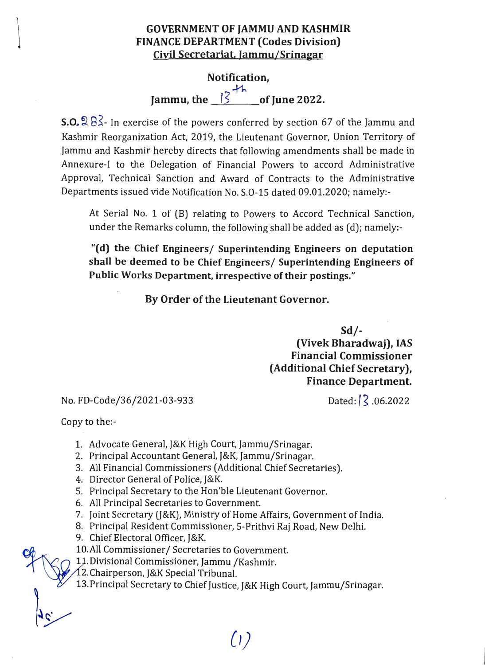## GOVERNMENT OF JAMMU AND KASHMIR FINANCE DEPARTMENT (Codes Division) Civil Secretariat, Jammu/Srinagar

## Notification, Jammu, the  $\frac{3+h}{2}$  of June 2022.

**S.O.**  $983$ - In exercise of the powers conferred by section 67 of the Jammu and Kashmir Reorganization Act, 2019, the Lieutenant Governor, Union Territory of Jammu and Kashmir hereby directs that following amendments shall be made in Annexure-I to the Delegation of Financial Powers to accord Administrative Approval, Technical Sanction and Award of Contracts to the Administrative Departments issued vide Notification No. S.0-15 dated 09.01.2020; namely:

At Serial No. 1 of (B) relating to Powers to Accord Technical Sanction, under the Remarks column, the following shall be added as (d); namely:

"(d) the Chief Engineers/ Superintending Engineers on deputation shall be deemed to be Chief Engineers/ Superintending Engineers of Public Works Department, irrespective of their postings."

By Order of the Lieutenant Governor.

 $Sd$  /-

(Vivek Bharadwaj), IAS Financial Commissioner (Additional Chief Secretary), Finance Department.

## No. FD-Code/36/2021-03-933 Dated:/\\, 06.2022

Copy to the:

- 1. Advocate General, J&K High Court, Jammu/Srinagar.
- 2. Principal Accountant General, J&K, Jammu/Srinagar.
- 3. All Financial Commissioners (Additional Chief Secretaries).
- 4. Director General of Police, J&K.
- 5. Principal Secretary to the Hon'ble Lieutenant Governor.
- 6. All Principal Secretaries to Government.
- 7. Joint Secretary (J&K), Ministry of Home Affairs, Government of India.
- 8. Principal Resident Commissioner, 5-Prithvi Raj Road, New Delhi.
- 9. Chief Electoral Officer, J&K.
- 10.All Commissioner/ Secretaries to Government.<br>11. Divisional Commissioner, Jammu /Kashmir.

12.Chairperson, J&K Special Tribunal.

13.Principal Secretary to Chief Justice, J&K High Court, Jammu/Srinagar.

 $(1)$